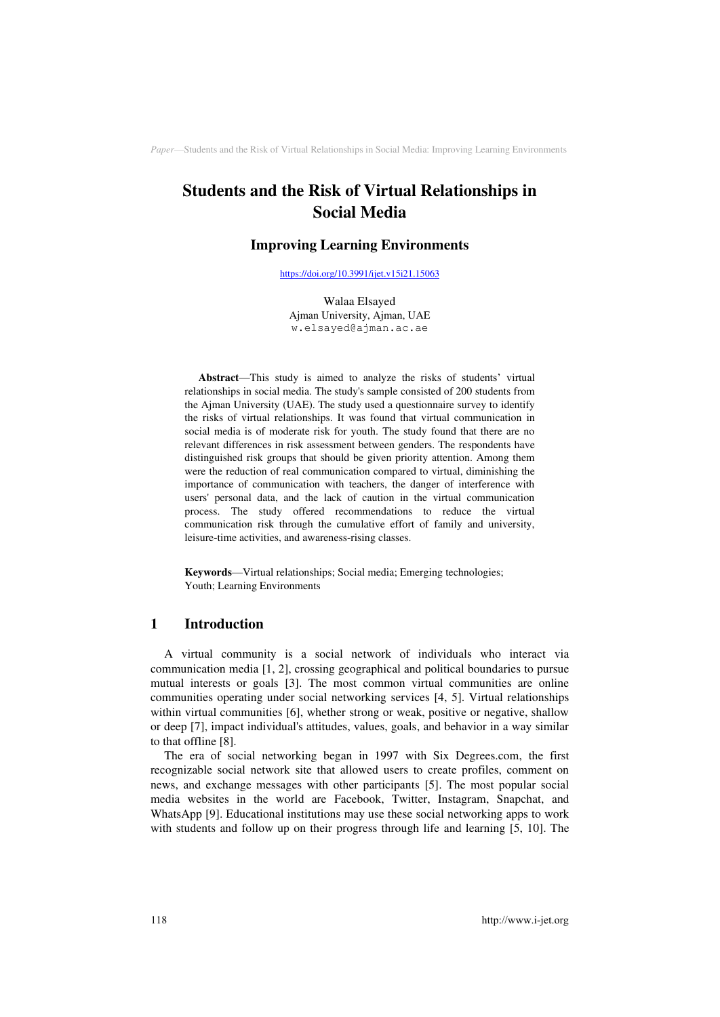# **Students and the Risk of Virtual Relationships in Social Media**

### **Improving Learning Environments**

[https://doi.org/10.3991/ijet.v15i21.15063](https://doi.org/10.3991/ijet.v15i21.15063%0d) 

Walaa Elsayed Ajman University, Ajman, UAE w.elsayed@ajman.ac.ae

**Abstract**—This study is aimed to analyze the risks of students' virtual relationships in social media. The study's sample consisted of 200 students from the Ajman University (UAE). The study used a questionnaire survey to identify the risks of virtual relationships. It was found that virtual communication in social media is of moderate risk for youth. The study found that there are no relevant differences in risk assessment between genders. The respondents have distinguished risk groups that should be given priority attention. Among them were the reduction of real communication compared to virtual, diminishing the importance of communication with teachers, the danger of interference with users' personal data, and the lack of caution in the virtual communication process. The study offered recommendations to reduce the virtual communication risk through the cumulative effort of family and university, leisure-time activities, and awareness-rising classes.

**Keywords**—Virtual relationships; Social media; Emerging technologies; Youth; Learning Environments

# **1 Introduction**

A virtual community is a social network of individuals who interact via communication media [1, 2], crossing geographical and political boundaries to pursue mutual interests or goals [3]. The most common virtual communities are online communities operating under social networking services [4, 5]. Virtual relationships within virtual communities [6], whether strong or weak, positive or negative, shallow or deep [7], impact individual's attitudes, values, goals, and behavior in a way similar to that offline [8].

The era of social networking began in 1997 with Six Degrees.com, the first recognizable social network site that allowed users to create profiles, comment on news, and exchange messages with other participants [5]. The most popular social media websites in the world are Facebook, Twitter, Instagram, Snapchat, and WhatsApp [9]. Educational institutions may use these social networking apps to work with students and follow up on their progress through life and learning [5, 10]. The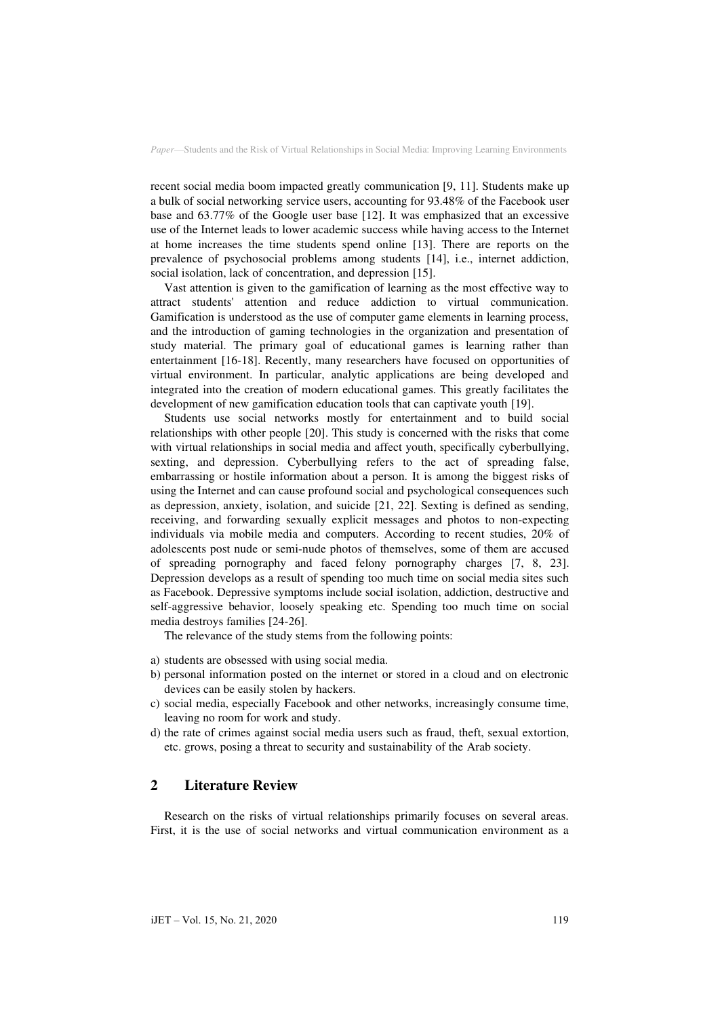recent social media boom impacted greatly communication [9, 11]. Students make up a bulk of social networking service users, accounting for 93.48% of the Facebook user base and 63.77% of the Google user base [12]. It was emphasized that an excessive use of the Internet leads to lower academic success while having access to the Internet at home increases the time students spend online [13]. There are reports on the prevalence of psychosocial problems among students [14], i.e., internet addiction, social isolation, lack of concentration, and depression [15].

Vast attention is given to the gamification of learning as the most effective way to attract students' attention and reduce addiction to virtual communication. Gamification is understood as the use of computer game elements in learning process, and the introduction of gaming technologies in the organization and presentation of study material. The primary goal of educational games is learning rather than entertainment [16-18]. Recently, many researchers have focused on opportunities of virtual environment. In particular, analytic applications are being developed and integrated into the creation of modern educational games. This greatly facilitates the development of new gamification education tools that can captivate youth [19].

Students use social networks mostly for entertainment and to build social relationships with other people [20]. This study is concerned with the risks that come with virtual relationships in social media and affect youth, specifically cyberbullying, sexting, and depression. Cyberbullying refers to the act of spreading false, embarrassing or hostile information about a person. It is among the biggest risks of using the Internet and can cause profound social and psychological consequences such as depression, anxiety, isolation, and suicide [21, 22]. Sexting is defined as sending, receiving, and forwarding sexually explicit messages and photos to non-expecting individuals via mobile media and computers. According to recent studies, 20% of adolescents post nude or semi-nude photos of themselves, some of them are accused of spreading pornography and faced felony pornography charges [7, 8, 23]. Depression develops as a result of spending too much time on social media sites such as Facebook. Depressive symptoms include social isolation, addiction, destructive and self-aggressive behavior, loosely speaking etc. Spending too much time on social media destroys families [24-26].

The relevance of the study stems from the following points:

- a) students are obsessed with using social media.
- b) personal information posted on the internet or stored in a cloud and on electronic devices can be easily stolen by hackers.
- c) social media, especially Facebook and other networks, increasingly consume time, leaving no room for work and study.
- d) the rate of crimes against social media users such as fraud, theft, sexual extortion, etc. grows, posing a threat to security and sustainability of the Arab society.

# **2 Literature Review**

Research on the risks of virtual relationships primarily focuses on several areas. First, it is the use of social networks and virtual communication environment as a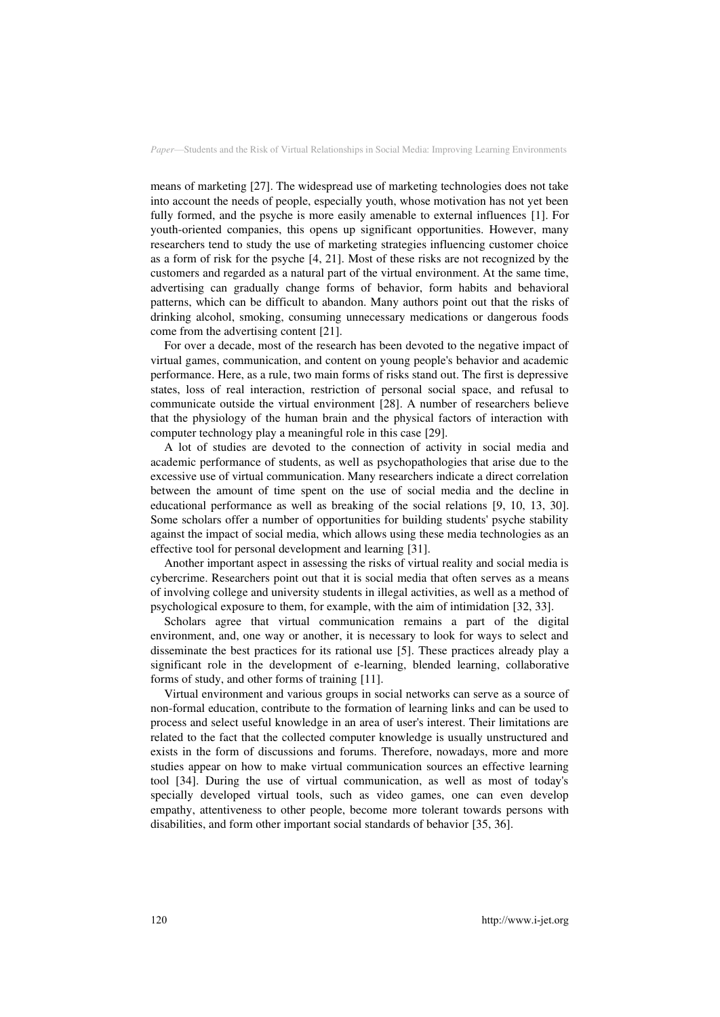means of marketing [27]. The widespread use of marketing technologies does not take into account the needs of people, especially youth, whose motivation has not yet been fully formed, and the psyche is more easily amenable to external influences [1]. For youth-oriented companies, this opens up significant opportunities. However, many researchers tend to study the use of marketing strategies influencing customer choice as a form of risk for the psyche [4, 21]. Most of these risks are not recognized by the customers and regarded as a natural part of the virtual environment. At the same time, advertising can gradually change forms of behavior, form habits and behavioral patterns, which can be difficult to abandon. Many authors point out that the risks of drinking alcohol, smoking, consuming unnecessary medications or dangerous foods come from the advertising content [21].

For over a decade, most of the research has been devoted to the negative impact of virtual games, communication, and content on young people's behavior and academic performance. Here, as a rule, two main forms of risks stand out. The first is depressive states, loss of real interaction, restriction of personal social space, and refusal to communicate outside the virtual environment [28]. A number of researchers believe that the physiology of the human brain and the physical factors of interaction with computer technology play a meaningful role in this case [29].

A lot of studies are devoted to the connection of activity in social media and academic performance of students, as well as psychopathologies that arise due to the excessive use of virtual communication. Many researchers indicate a direct correlation between the amount of time spent on the use of social media and the decline in educational performance as well as breaking of the social relations [9, 10, 13, 30]. Some scholars offer a number of opportunities for building students' psyche stability against the impact of social media, which allows using these media technologies as an effective tool for personal development and learning [31].

Another important aspect in assessing the risks of virtual reality and social media is cybercrime. Researchers point out that it is social media that often serves as a means of involving college and university students in illegal activities, as well as a method of psychological exposure to them, for example, with the aim of intimidation [32, 33].

Scholars agree that virtual communication remains a part of the digital environment, and, one way or another, it is necessary to look for ways to select and disseminate the best practices for its rational use [5]. These practices already play a significant role in the development of e-learning, blended learning, collaborative forms of study, and other forms of training [11].

Virtual environment and various groups in social networks can serve as a source of non-formal education, contribute to the formation of learning links and can be used to process and select useful knowledge in an area of user's interest. Their limitations are related to the fact that the collected computer knowledge is usually unstructured and exists in the form of discussions and forums. Therefore, nowadays, more and more studies appear on how to make virtual communication sources an effective learning tool [34]. During the use of virtual communication, as well as most of today's specially developed virtual tools, such as video games, one can even develop empathy, attentiveness to other people, become more tolerant towards persons with disabilities, and form other important social standards of behavior [35, 36].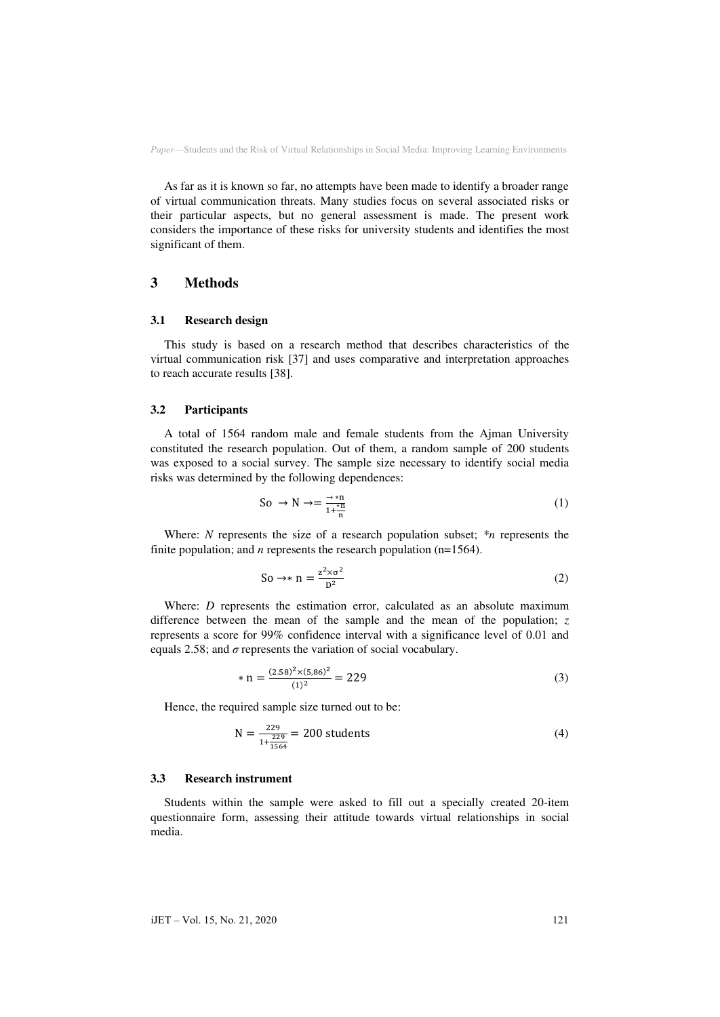As far as it is known so far, no attempts have been made to identify a broader range of virtual communication threats. Many studies focus on several associated risks or their particular aspects, but no general assessment is made. The present work considers the importance of these risks for university students and identifies the most significant of them.

#### **3 Methods**

#### **3.1 Research design**

This study is based on a research method that describes characteristics of the virtual communication risk [37] and uses comparative and interpretation approaches to reach accurate results [38].

#### **3.2 Participants**

A total of 1564 random male and female students from the Ajman University constituted the research population. Out of them, a random sample of 200 students was exposed to a social survey. The sample size necessary to identify social media risks was determined by the following dependences:

$$
So \to N \to = \frac{\to \ast n}{1 + \frac{\ast n}{n}}\tag{1}
$$

Where: *N* represents the size of a research population subset; *\*n* represents the finite population; and *n* represents the research population  $(n=1564)$ .

$$
\text{So} \to \text{A} \text{ n} = \frac{z^2 \times \sigma^2}{D^2} \tag{2}
$$

Where: *D* represents the estimation error, calculated as an absolute maximum difference between the mean of the sample and the mean of the population; *z* represents a score for 99% confidence interval with a significance level of 0.01 and equals 2.58; and  $\sigma$  represents the variation of social vocabulary.

$$
* n = \frac{(2.58)^2 \times (5.86)^2}{(1)^2} = 229
$$
 (3)

Hence, the required sample size turned out to be:

$$
N = \frac{229}{1 + \frac{229}{1564}} = 200
$$
 students (4)

#### **3.3 Research instrument**

Students within the sample were asked to fill out a specially created 20-item questionnaire form, assessing their attitude towards virtual relationships in social media.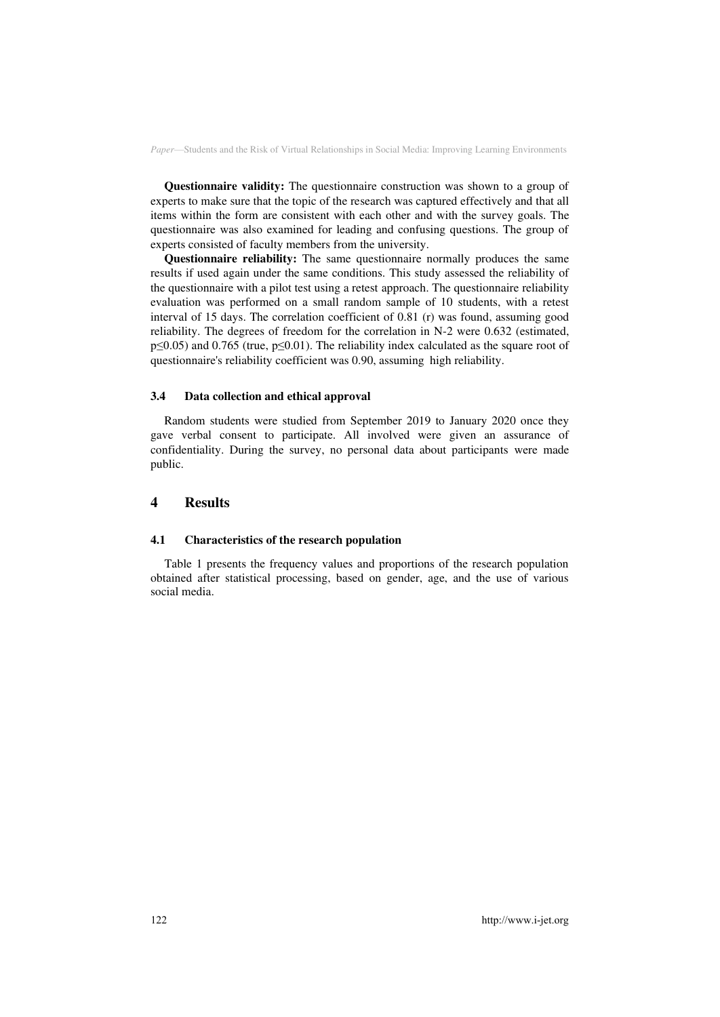**Questionnaire validity:** The questionnaire construction was shown to a group of experts to make sure that the topic of the research was captured effectively and that all items within the form are consistent with each other and with the survey goals. The questionnaire was also examined for leading and confusing questions. The group of experts consisted of faculty members from the university.

**Questionnaire reliability:** The same questionnaire normally produces the same results if used again under the same conditions. This study assessed the reliability of the questionnaire with a pilot test using a retest approach. The questionnaire reliability evaluation was performed on a small random sample of 10 students, with a retest interval of 15 days. The correlation coefficient of 0.81 (r) was found, assuming good reliability. The degrees of freedom for the correlation in N-2 were 0.632 (estimated, p≤0.05) and 0.765 (true, p≤0.01). The reliability index calculated as the square root of questionnaire's reliability coefficient was 0.90, assuming high reliability.

#### **3.4 Data collection and ethical approval**

Random students were studied from September 2019 to January 2020 once they gave verbal consent to participate. All involved were given an assurance of confidentiality. During the survey, no personal data about participants were made public.

### **4 Results**

#### **4.1 Characteristics of the research population**

Table 1 presents the frequency values and proportions of the research population obtained after statistical processing, based on gender, age, and the use of various social media.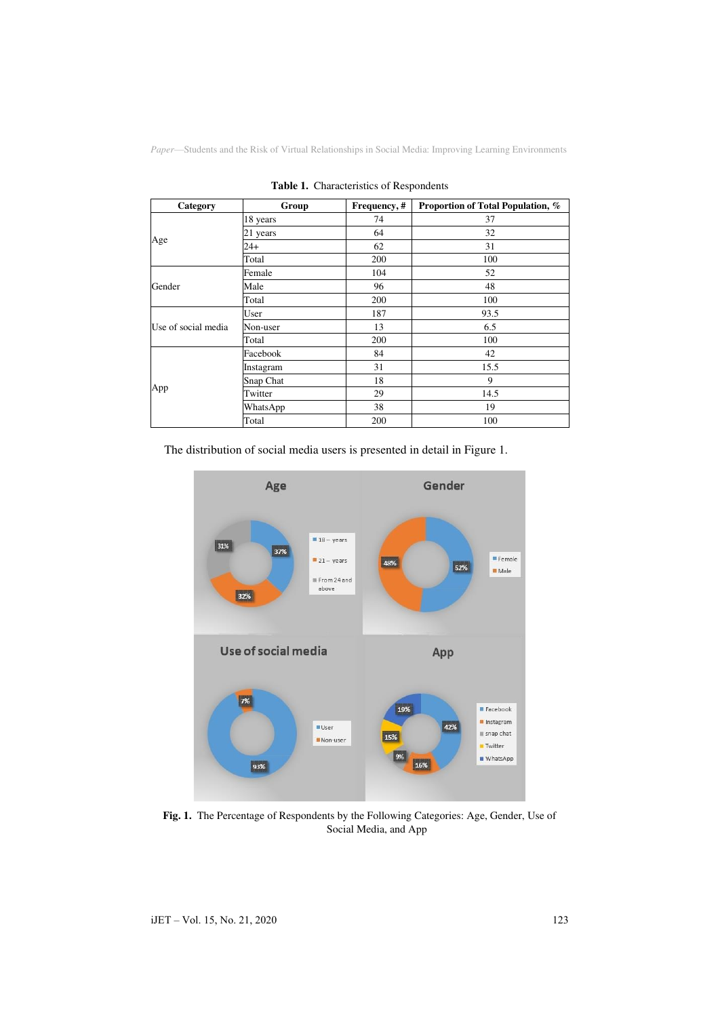| Category            | Group     | Frequency, # | Proportion of Total Population, % |
|---------------------|-----------|--------------|-----------------------------------|
| Age                 | 18 years  | 74           | 37                                |
|                     | 21 years  | 64           | 32                                |
|                     | 24+       | 62           | 31                                |
|                     | Total     | 200          | 100                               |
| Gender              | Female    | 104          | 52                                |
|                     | Male      | 96           | 48                                |
|                     | Total     | 200          | 100                               |
| Use of social media | User      | 187          | 93.5                              |
|                     | Non-user  | 13           | 6.5                               |
|                     | Total     | 200          | 100                               |
| App                 | Facebook  | 84           | 42                                |
|                     | Instagram | 31           | 15.5                              |
|                     | Snap Chat | 18           | 9                                 |
|                     | Twitter   | 29           | 14.5                              |
|                     | WhatsApp  | 38           | 19                                |
|                     | Total     | 200          | 100                               |

**Table 1.** Characteristics of Respondents

The distribution of social media users is presented in detail in Figure 1.



**Fig. 1.** The Percentage of Respondents by the Following Categories: Age, Gender, Use of Social Media, and App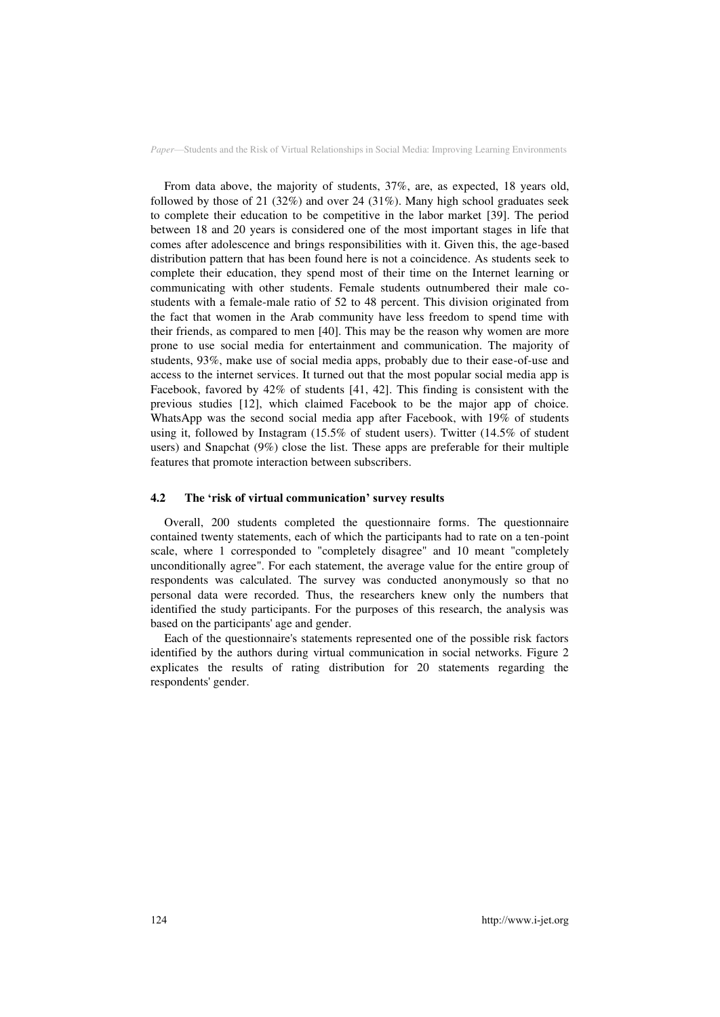From data above, the majority of students, 37%, are, as expected, 18 years old, followed by those of 21 (32%) and over 24 (31%). Many high school graduates seek to complete their education to be competitive in the labor market [39]. The period between 18 and 20 years is considered one of the most important stages in life that comes after adolescence and brings responsibilities with it. Given this, the age-based distribution pattern that has been found here is not a coincidence. As students seek to complete their education, they spend most of their time on the Internet learning or communicating with other students. Female students outnumbered their male costudents with a female-male ratio of 52 to 48 percent. This division originated from the fact that women in the Arab community have less freedom to spend time with their friends, as compared to men [40]. This may be the reason why women are more prone to use social media for entertainment and communication. The majority of students, 93%, make use of social media apps, probably due to their ease-of-use and access to the internet services. It turned out that the most popular social media app is Facebook, favored by 42% of students [41, 42]. This finding is consistent with the previous studies [12], which claimed Facebook to be the major app of choice. WhatsApp was the second social media app after Facebook, with 19% of students using it, followed by Instagram (15.5% of student users). Twitter (14.5% of student users) and Snapchat (9%) close the list. These apps are preferable for their multiple features that promote interaction between subscribers.

#### **4.2 The 'risk of virtual communication' survey results**

Overall, 200 students completed the questionnaire forms. The questionnaire contained twenty statements, each of which the participants had to rate on a ten-point scale, where 1 corresponded to "completely disagree" and 10 meant "completely unconditionally agree". For each statement, the average value for the entire group of respondents was calculated. The survey was conducted anonymously so that no personal data were recorded. Thus, the researchers knew only the numbers that identified the study participants. For the purposes of this research, the analysis was based on the participants' age and gender.

Each of the questionnaire's statements represented one of the possible risk factors identified by the authors during virtual communication in social networks. Figure 2 explicates the results of rating distribution for 20 statements regarding the respondents' gender.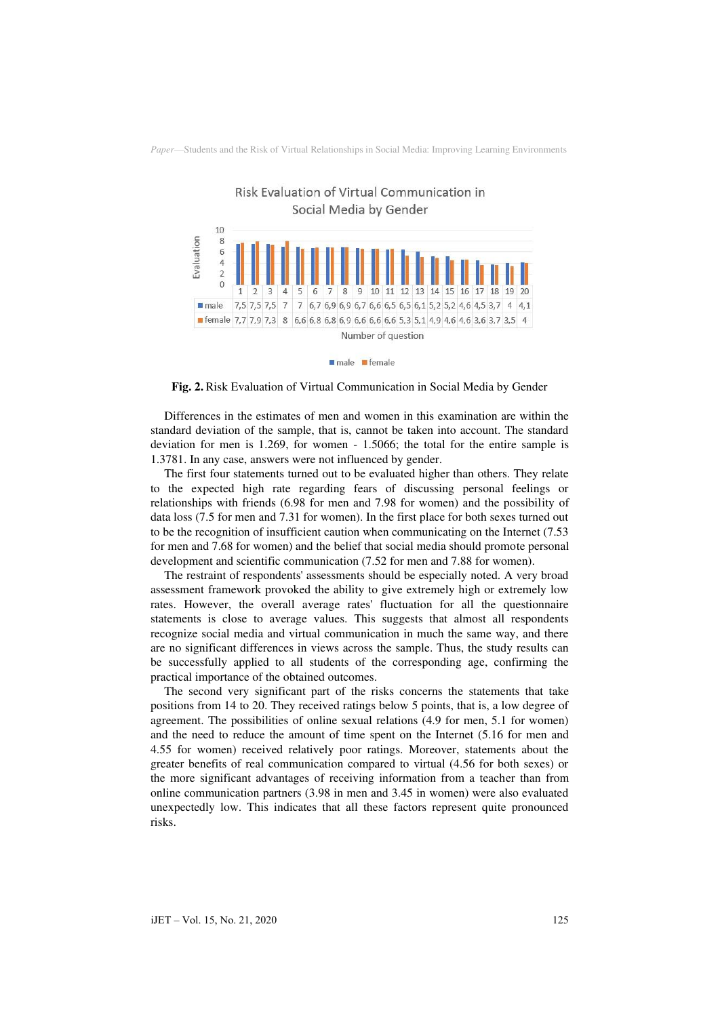

male female

**Fig. 2.** Risk Evaluation of Virtual Communication in Social Media by Gender

Differences in the estimates of men and women in this examination are within the standard deviation of the sample, that is, cannot be taken into account. The standard deviation for men is 1.269, for women - 1.5066; the total for the entire sample is 1.3781. In any case, answers were not influenced by gender.

The first four statements turned out to be evaluated higher than others. They relate to the expected high rate regarding fears of discussing personal feelings or relationships with friends (6.98 for men and 7.98 for women) and the possibility of data loss (7.5 for men and 7.31 for women). In the first place for both sexes turned out to be the recognition of insufficient caution when communicating on the Internet (7.53 for men and 7.68 for women) and the belief that social media should promote personal development and scientific communication (7.52 for men and 7.88 for women).

The restraint of respondents' assessments should be especially noted. A very broad assessment framework provoked the ability to give extremely high or extremely low rates. However, the overall average rates' fluctuation for all the questionnaire statements is close to average values. This suggests that almost all respondents recognize social media and virtual communication in much the same way, and there are no significant differences in views across the sample. Thus, the study results can be successfully applied to all students of the corresponding age, confirming the practical importance of the obtained outcomes.

The second very significant part of the risks concerns the statements that take positions from 14 to 20. They received ratings below 5 points, that is, a low degree of agreement. The possibilities of online sexual relations (4.9 for men, 5.1 for women) and the need to reduce the amount of time spent on the Internet (5.16 for men and 4.55 for women) received relatively poor ratings. Moreover, statements about the greater benefits of real communication compared to virtual (4.56 for both sexes) or the more significant advantages of receiving information from a teacher than from online communication partners (3.98 in men and 3.45 in women) were also evaluated unexpectedly low. This indicates that all these factors represent quite pronounced risks.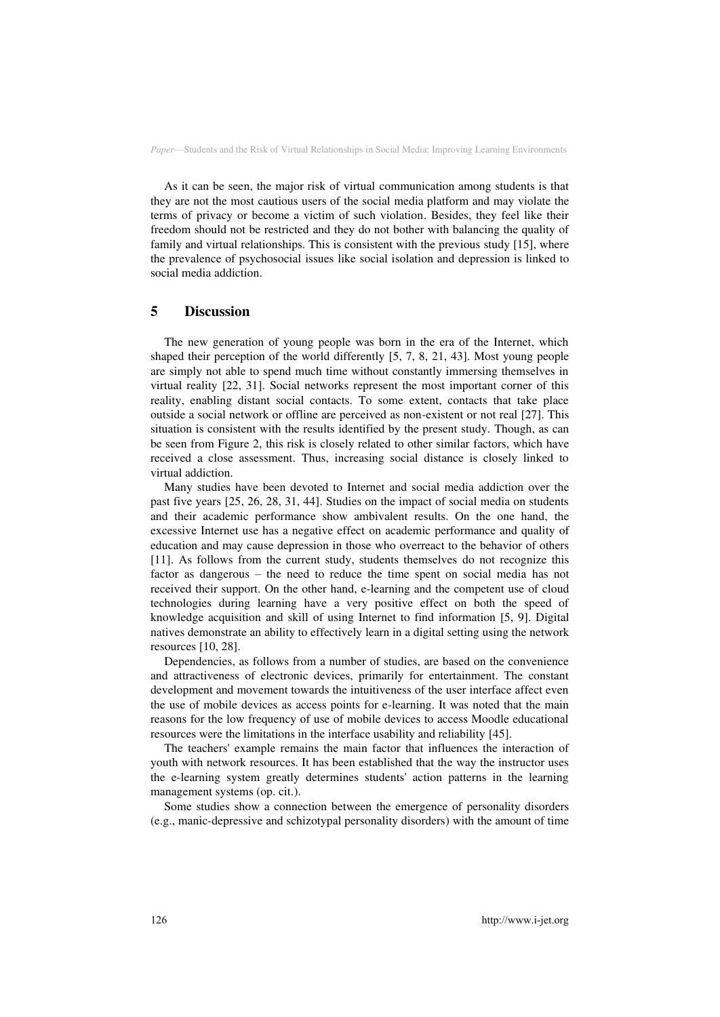As it can be seen, the major risk of virtual communication among students is that they are not the most cautious users of the social media platform and may violate the terms of privacy or become a victim of such violation. Besides, they feel like their freedom should not be restricted and they do not bother with balancing the quality of family and virtual relationships. This is consistent with the previous study [15], where the prevalence of psychosocial issues like social isolation and depression is linked to social media addiction.

### **5 Discussion**

The new generation of young people was born in the era of the Internet, which shaped their perception of the world differently [5, 7, 8, 21, 43]. Most young people are simply not able to spend much time without constantly immersing themselves in virtual reality [22, 31]. Social networks represent the most important corner of this reality, enabling distant social contacts. To some extent, contacts that take place outside a social network or offline are perceived as non-existent or not real [27]. This situation is consistent with the results identified by the present study. Though, as can be seen from Figure 2, this risk is closely related to other similar factors, which have received a close assessment. Thus, increasing social distance is closely linked to virtual addiction.

Many studies have been devoted to Internet and social media addiction over the past five years [25, 26, 28, 31, 44]. Studies on the impact of social media on students and their academic performance show ambivalent results. On the one hand, the excessive Internet use has a negative effect on academic performance and quality of education and may cause depression in those who overreact to the behavior of others [11]. As follows from the current study, students themselves do not recognize this factor as dangerous – the need to reduce the time spent on social media has not received their support. On the other hand, e-learning and the competent use of cloud technologies during learning have a very positive effect on both the speed of knowledge acquisition and skill of using Internet to find information [5, 9]. Digital natives demonstrate an ability to effectively learn in a digital setting using the network resources [10, 28].

Dependencies, as follows from a number of studies, are based on the convenience and attractiveness of electronic devices, primarily for entertainment. The constant development and movement towards the intuitiveness of the user interface affect even the use of mobile devices as access points for e-learning. It was noted that the main reasons for the low frequency of use of mobile devices to access Moodle educational resources were the limitations in the interface usability and reliability [45].

The teachers' example remains the main factor that influences the interaction of youth with network resources. It has been established that the way the instructor uses the e-learning system greatly determines students' action patterns in the learning management systems (op. cit.).

Some studies show a connection between the emergence of personality disorders (e.g., manic-depressive and schizotypal personality disorders) with the amount of time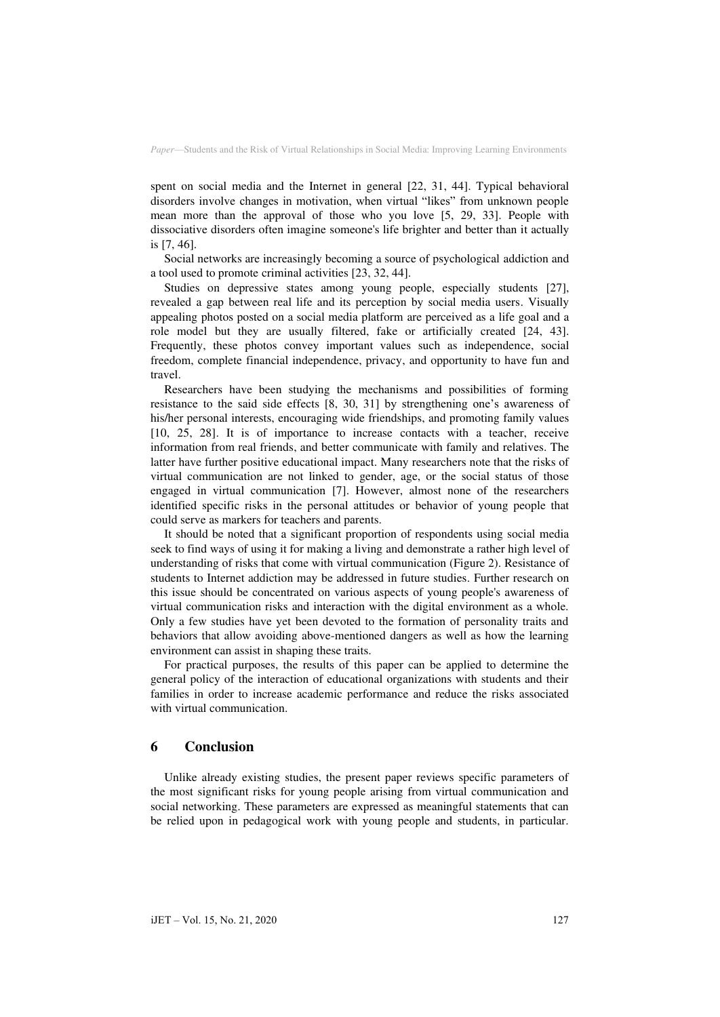spent on social media and the Internet in general [22, 31, 44]. Typical behavioral disorders involve changes in motivation, when virtual "likes" from unknown people mean more than the approval of those who you love [5, 29, 33]. People with dissociative disorders often imagine someone's life brighter and better than it actually is [7, 46].

Social networks are increasingly becoming a source of psychological addiction and a tool used to promote criminal activities [23, 32, 44].

Studies on depressive states among young people, especially students [27], revealed a gap between real life and its perception by social media users. Visually appealing photos posted on a social media platform are perceived as a life goal and a role model but they are usually filtered, fake or artificially created [24, 43]. Frequently, these photos convey important values such as independence, social freedom, complete financial independence, privacy, and opportunity to have fun and travel.

Researchers have been studying the mechanisms and possibilities of forming resistance to the said side effects [8, 30, 31] by strengthening one's awareness of his/her personal interests, encouraging wide friendships, and promoting family values [10, 25, 28]. It is of importance to increase contacts with a teacher, receive information from real friends, and better communicate with family and relatives. The latter have further positive educational impact. Many researchers note that the risks of virtual communication are not linked to gender, age, or the social status of those engaged in virtual communication [7]. However, almost none of the researchers identified specific risks in the personal attitudes or behavior of young people that could serve as markers for teachers and parents.

It should be noted that a significant proportion of respondents using social media seek to find ways of using it for making a living and demonstrate a rather high level of understanding of risks that come with virtual communication (Figure 2). Resistance of students to Internet addiction may be addressed in future studies. Further research on this issue should be concentrated on various aspects of young people's awareness of virtual communication risks and interaction with the digital environment as a whole. Only a few studies have yet been devoted to the formation of personality traits and behaviors that allow avoiding above-mentioned dangers as well as how the learning environment can assist in shaping these traits.

For practical purposes, the results of this paper can be applied to determine the general policy of the interaction of educational organizations with students and their families in order to increase academic performance and reduce the risks associated with virtual communication.

#### **6 Conclusion**

Unlike already existing studies, the present paper reviews specific parameters of the most significant risks for young people arising from virtual communication and social networking. These parameters are expressed as meaningful statements that can be relied upon in pedagogical work with young people and students, in particular.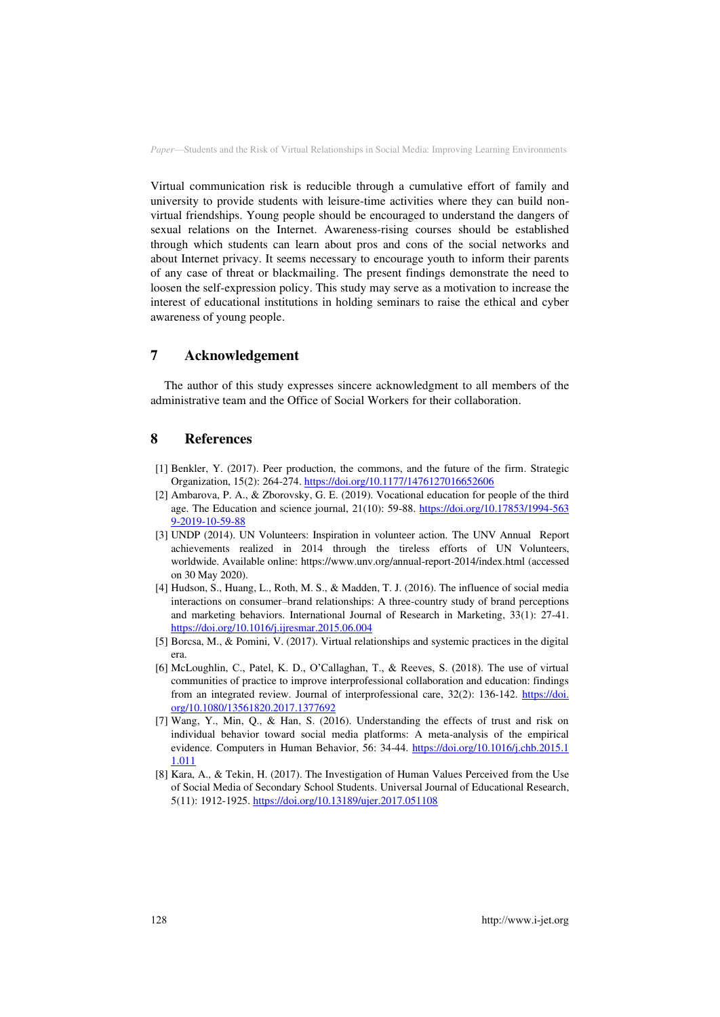Virtual communication risk is reducible through a cumulative effort of family and university to provide students with leisure-time activities where they can build nonvirtual friendships. Young people should be encouraged to understand the dangers of sexual relations on the Internet. Awareness-rising courses should be established through which students can learn about pros and cons of the social networks and about Internet privacy. It seems necessary to encourage youth to inform their parents of any case of threat or blackmailing. The present findings demonstrate the need to loosen the self-expression policy. This study may serve as a motivation to increase the interest of educational institutions in holding seminars to raise the ethical and cyber awareness of young people.

# **7 Acknowledgement**

The author of this study expresses sincere acknowledgment to all members of the administrative team and the Office of Social Workers for their collaboration.

### **8 References**

- [1] Benkler, Y. (2017). Peer production, the commons, and the future of the firm. Strategic Organization, 15(2): 264-274.<https://doi.org/10.1177/1476127016652606>
- [2] Ambarova, P. A., & Zborovsky, G. E. (2019). Vocational education for people of the third age. The Education and science journal, 21(10): 59-88. [https://doi.org/10.17853/1994-563](https://doi.org/10.17853/1994-5639-2019-10-59-88)  [9-2019-10-59-88](https://doi.org/10.17853/1994-5639-2019-10-59-88)
- [3] UNDP (2014). UN Volunteers: Inspiration in volunteer action. The UNV Annual Report achievements realized in 2014 through the tireless efforts of UN Volunteers, worldwide. Available online: https:[//www.unv.org/annual-report-2014/index.html](http://www.unv.org/annual-report-2014/index.html) (accessed on 30 May 2020).
- [4] Hudson, S., Huang, L., Roth, M. S., & Madden, T. J. (2016). The influence of social media interactions on consumer–brand relationships: A three-country study of brand perceptions and marketing behaviors. International Journal of Research in Marketing, 33(1): 27-41. <https://doi.org/10.1016/j.ijresmar.2015.06.004>
- [5] Borcsa, M., & Pomini, V. (2017). Virtual relationships and systemic practices in the digital era.
- [6] McLoughlin, C., Patel, K. D., O'Callaghan, T., & Reeves, S. (2018). The use of virtual communities of practice to improve interprofessional collaboration and education: findings from an integrated review. Journal of interprofessional care, 32(2): 136-142. [https://doi.](https://doi.org/10.1080/13561820.2017.1377692)  [org/10.1080/13561820.2017.1377692](https://doi.org/10.1080/13561820.2017.1377692)
- [7] Wang, Y., Min, Q., & Han, S. (2016). Understanding the effects of trust and risk on individual behavior toward social media platforms: A meta-analysis of the empirical evidence. Computers in Human Behavior, 56: 34-44. [https://doi.org/10.1016/j.chb.2015.1](https://doi.org/10.1016/j.chb.2015.11.011)  [1.011](https://doi.org/10.1016/j.chb.2015.11.011)
- [8] Kara, A., & Tekin, H. (2017). The Investigation of Human Values Perceived from the Use of Social Media of Secondary School Students. Universal Journal of Educational Research, 5(11): 1912-1925[. https://doi.org/10.13189/ujer.2017.051108](https://doi.org/10.13189/ujer.2017.051108)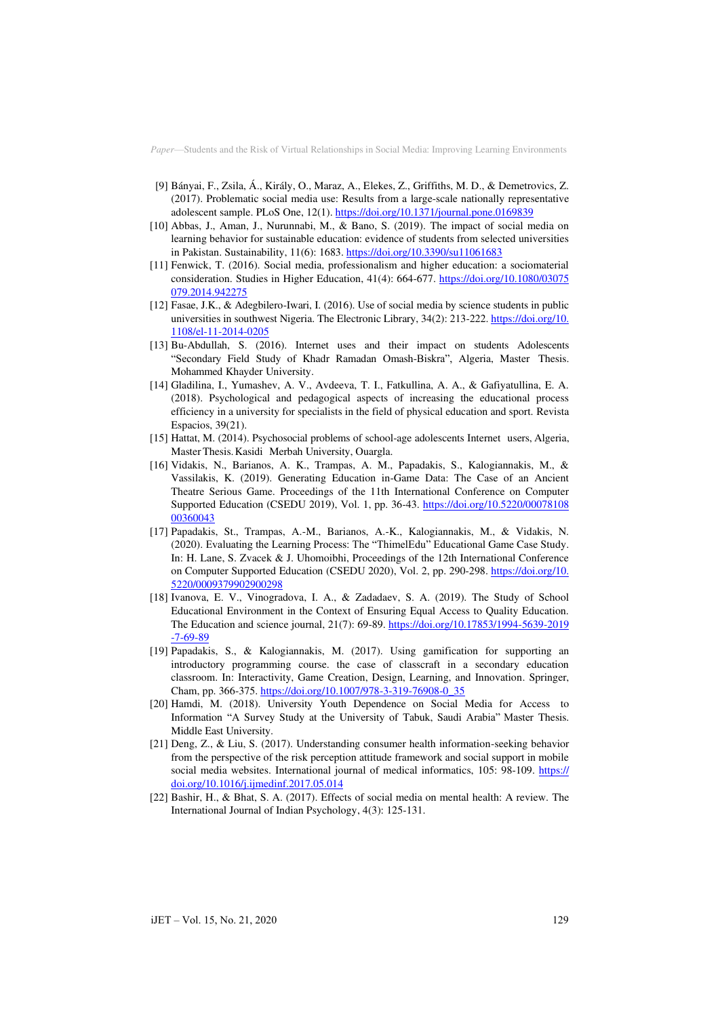- [9] Bányai, F., Zsila, Á., Király, O., Maraz, A., Elekes, Z., Griffiths, M. D., & Demetrovics, Z. (2017). Problematic social media use: Results from a large-scale nationally representative adolescent sample. PLoS One, 12(1)[. https://doi.org/10.1371/journal.pone.0169839](https://doi.org/10.1371/journal.pone.0169839)
- [10] Abbas, J., Aman, J., Nurunnabi, M., & Bano, S. (2019). The impact of social media on learning behavior for sustainable education: evidence of students from selected universities in Pakistan. Sustainability, 11(6): 1683[. https://doi.org/10.3390/su11061683](https://doi.org/10.3390/su11061683)
- [11] Fenwick, T. (2016). Social media, professionalism and higher education: a sociomaterial consideration. Studies in Higher Education, 41(4): 664-677. [https://doi.org/10.1080/03075](https://doi.org/10.1080/03075079.2014.942275)  [079.2014.942275](https://doi.org/10.1080/03075079.2014.942275)
- [12] Fasae, J.K., & Adegbilero-Iwari, I. (2016). Use of social media by science students in public universities in southwest Nigeria. The Electronic Library, 34(2): 213-222. [https://doi.org/10.](https://doi.org/10.1108/el-11-2014-0205)  [1108/el-11-2014-0205](https://doi.org/10.1108/el-11-2014-0205)
- [13] Bu-Abdullah, S. (2016). Internet uses and their impact on students Adolescents "Secondary Field Study of Khadr Ramadan Omash-Biskra", Algeria, Master Thesis. Mohammed Khayder University.
- [14] Gladilina, I., Yumashev, A. V., Avdeeva, T. I., Fatkullina, A. A., & Gafiyatullina, E. A. (2018). Psychological and pedagogical aspects of increasing the educational process efficiency in a university for specialists in the field of physical education and sport. Revista Espacios, 39(21).
- [15] Hattat, M. (2014). Psychosocial problems of school-age adolescents Internet users, Algeria, Master Thesis. Kasidi Merbah University, Ouargla.
- [16] Vidakis, N., Barianos, A. K., Trampas, A. M., Papadakis, S., Kalogiannakis, M., & Vassilakis, K. (2019). Generating Education in-Game Data: The Case of an Ancient Theatre Serious Game. Proceedings of the 11th International Conference on Computer Supported Education (CSEDU 2019), Vol. 1, pp. 36-43. [https://doi.org/10.5220/00078108](https://doi.org/10.5220/0007810800360043)  [00360043](https://doi.org/10.5220/0007810800360043)
- [17] Papadakis, St., Trampas, A.-M., Barianos, A.-K., Kalogiannakis, M., & Vidakis, N. (2020). Evaluating the Learning Process: The "ThimelEdu" Educational Game Case Study. In: H. Lane, S. Zvacek & J. Uhomoibhi, Proceedings of the 12th International Conference on Computer Supported Education (CSEDU 2020), Vol. 2, pp. 290-298[. https://doi.org/10.](https://doi.org/10.5220/0009379902900298)  [5220/0009379902900298](https://doi.org/10.5220/0009379902900298)
- [18] Ivanova, E. V., Vinogradova, I. A., & Zadadaev, S. A. (2019). The Study of School Educational Environment in the Context of Ensuring Equal Access to Quality Education. The Education and science journal, 21(7): 69-89[. https://doi.org/10.17853/1994-5639-2019](https://doi.org/10.17853/1994-5639-2019-7-69-89)  [-7-69-89](https://doi.org/10.17853/1994-5639-2019-7-69-89)
- [19] Papadakis, S., & Kalogiannakis, M. (2017). Using gamification for supporting an introductory programming course. the case of classcraft in a secondary education classroom. In: Interactivity, Game Creation, Design, Learning, and Innovation. Springer, Cham, pp. 366-375[. https://doi.org/10.1007/978-3-319-76908-0\\_35](https://doi.org/10.1007/978-3-319-76908-0_35)
- [20] Hamdi, M. (2018). University Youth Dependence on Social Media for Access to Information "A Survey Study at the University of Tabuk, Saudi Arabia" Master Thesis. Middle East University.
- [21] Deng, Z., & Liu, S. (2017). Understanding consumer health information-seeking behavior from the perspective of the risk perception attitude framework and social support in mobile social media websites. International journal of medical informatics, 105: 98-109. https:// [doi.org/10.1016/j.ijmedinf.2017.05.014](https://doi.org/10.1016/j.ijmedinf.2017.05.014)
- [22] Bashir, H., & Bhat, S. A. (2017). Effects of social media on mental health: A review. The International Journal of Indian Psychology, 4(3): 125-131.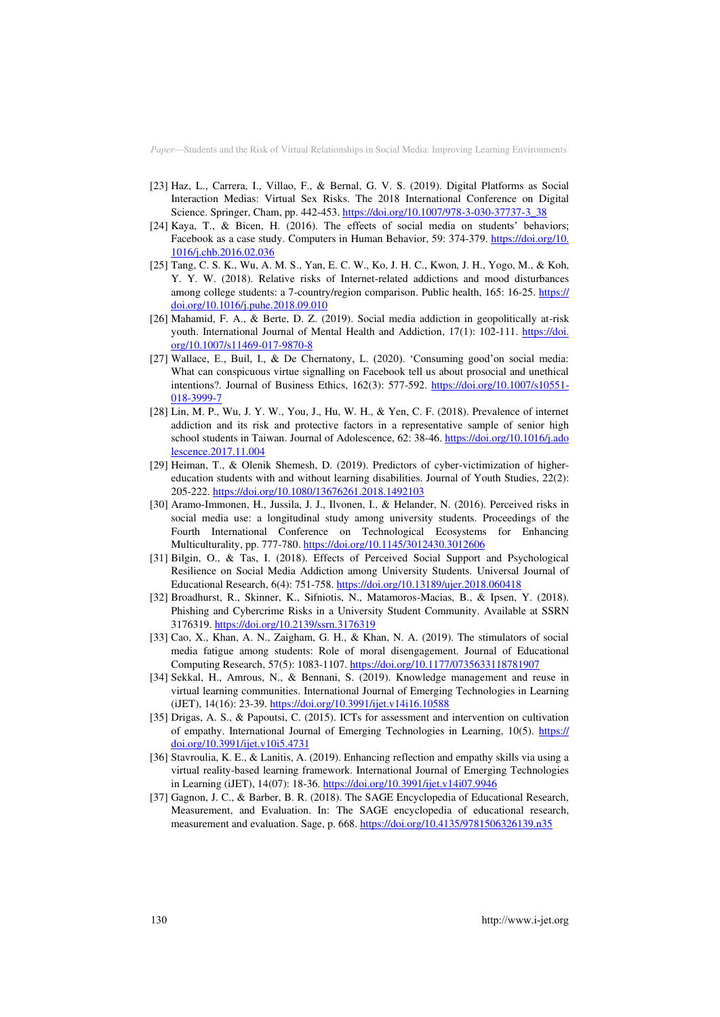- [23] Haz, L., Carrera, I., Villao, F., & Bernal, G. V. S. (2019). Digital Platforms as Social Interaction Medias: Virtual Sex Risks. The 2018 International Conference on Digital Science. Springer, Cham, pp. 442-453[. https://doi.org/10.1007/978-3-030-37737-3\\_38](https://doi.org/10.1007/978-3-030-37737-3_38)
- [24] Kaya, T., & Bicen, H. (2016). The effects of social media on students' behaviors; Facebook as a case study. Computers in Human Behavior, 59: 374-379. [https://doi.org/10.](https://doi.org/10.1016/j.chb.2016.02.036)  [1016/j.chb.2016.02.036](https://doi.org/10.1016/j.chb.2016.02.036)
- [25] Tang, C. S. K., Wu, A. M. S., Yan, E. C. W., Ko, J. H. C., Kwon, J. H., Yogo, M., & Koh, Y. Y. W. (2018). Relative risks of Internet-related addictions and mood disturbances among college students: a 7-country/region comparison. Public health, 165: 16-25. [https://](https://doi.org/10.1016/j.puhe.2018.09.010)  [doi.org/10.1016/j.puhe.2018.09.010](https://doi.org/10.1016/j.puhe.2018.09.010)
- [26] Mahamid, F. A., & Berte, D. Z. (2019). Social media addiction in geopolitically at-risk youth. International Journal of Mental Health and Addiction, 17(1): 102-111. [https://doi.](https://doi.org/10.1007/s11469-017-9870-8)  [org/10.1007/s11469-017-9870-8](https://doi.org/10.1007/s11469-017-9870-8)
- [27] Wallace, E., Buil, I., & De Chernatony, L. (2020). 'Consuming good'on social media: What can conspicuous virtue signalling on Facebook tell us about prosocial and unethical intentions?. Journal of Business Ethics, 162(3): 577-592. [https://doi.org/10.1007/s10551-](https://doi.org/10.1007/s10551-018-3999-7) [018-3999-7](https://doi.org/10.1007/s10551-018-3999-7)
- [28] Lin, M. P., Wu, J. Y. W., You, J., Hu, W. H., & Yen, C. F. (2018). Prevalence of internet addiction and its risk and protective factors in a representative sample of senior high school students in Taiwan. Journal of Adolescence, 62: 38-46[. https://doi.org/10.1016/j.ado](https://doi.org/10.1016/j.adolescence.2017.11.004)  [lescence.2017.11.004](https://doi.org/10.1016/j.adolescence.2017.11.004)
- [29] Heiman, T., & Olenik Shemesh, D. (2019). Predictors of cyber-victimization of highereducation students with and without learning disabilities. Journal of Youth Studies, 22(2): 205-222.<https://doi.org/10.1080/13676261.2018.1492103>
- [30] Aramo-Immonen, H., Jussila, J. J., Ilvonen, I., & Helander, N. (2016). Perceived risks in social media use: a longitudinal study among university students. Proceedings of the Fourth International Conference on Technological Ecosystems for Enhancing Multiculturality, pp. 777-780[. https://doi.org/10.1145/3012430.3012606](https://doi.org/10.1145/3012430.3012606)
- [31] Bilgin, O., & Tas, I. (2018). Effects of Perceived Social Support and Psychological Resilience on Social Media Addiction among University Students. Universal Journal of Educational Research, 6(4): 751-758[. https://doi.org/10.13189/ujer.2018.060418](https://doi.org/10.13189/ujer.2018.060418)
- [32] Broadhurst, R., Skinner, K., Sifniotis, N., Matamoros-Macias, B., & Ipsen, Y. (2018). Phishing and Cybercrime Risks in a University Student Community. Available at SSRN 3176319[. https://doi.org/10.2139/ssrn.3176319](https://doi.org/10.2139/ssrn.3176319)
- [33] Cao, X., Khan, A. N., Zaigham, G. H., & Khan, N. A. (2019). The stimulators of social media fatigue among students: Role of moral disengagement. Journal of Educational Computing Research, 57(5): 1083-1107[. https://doi.org/10.1177/0735633118781907](https://doi.org/10.1177/0735633118781907)
- [34] Sekkal, H., Amrous, N., & Bennani, S. (2019). Knowledge management and reuse in virtual learning communities. International Journal of Emerging Technologies in Learning (iJET), 14(16): 23-39[. https://doi.org/10.3991/ijet.v14i16.10588](https://doi.org/10.3991/ijet.v14i16.10588)
- [35] Drigas, A. S., & Papoutsi, C. (2015). ICTs for assessment and intervention on cultivation of empathy. International Journal of Emerging Technologies in Learning, 10(5). https:// [doi.org/10.3991/ijet.v10i5.4731](https://doi.org/10.3991/ijet.v10i5.4731)
- [36] Stavroulia, K. E., & Lanitis, A. (2019). Enhancing reflection and empathy skills via using a virtual reality-based learning framework. International Journal of Emerging Technologies in Learning (iJET), 14(07): 18-36. <https://doi.org/10.3991/ijet.v14i07.9946>
- [37] Gagnon, J. C., & Barber, B. R. (2018). The SAGE Encyclopedia of Educational Research, Measurement, and Evaluation. In: The SAGE encyclopedia of educational research, measurement and evaluation. Sage, p. 668.<https://doi.org/10.4135/9781506326139.n35>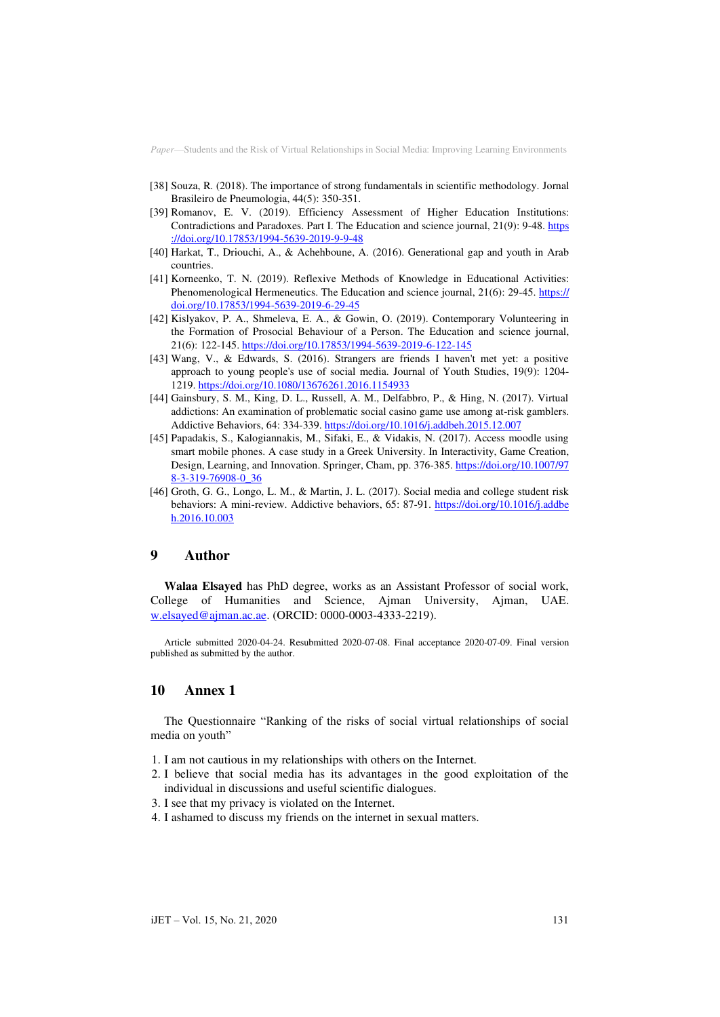- [38] Souza, R. (2018). The importance of strong fundamentals in scientific methodology. Jornal Brasileiro de Pneumologia, 44(5): 350-351.
- [39] Romanov, E. V. (2019). Efficiency Assessment of Higher Education Institutions: Contradictions and Paradoxes. Part I. The Education and science journal, 21(9): 9-48. https [://doi.org/10.17853/1994-5639-2019-9-9-48](https://doi.org/10.17853/1994-5639-2019-9-9-48)
- [40] Harkat, T., Driouchi, A., & Achehboune, A. (2016). Generational gap and youth in Arab countries.
- [41] Korneenko, T. N. (2019). Reflexive Methods of Knowledge in Educational Activities: Phenomenological Hermeneutics. The Education and science journal, 21(6): 29-45. [https://](https://doi.org/10.17853/1994-5639-2019-6-29-45)  [doi.org/10.17853/1994-5639-2019-6-29-45](https://doi.org/10.17853/1994-5639-2019-6-29-45)
- [42] Kislyakov, P. A., Shmeleva, E. A., & Gowin, O. (2019). Contemporary Volunteering in the Formation of Prosocial Behaviour of a Person. The Education and science journal, 21(6): 122-145[. https://doi.org/10.17853/1994-5639-2019-6-122-145](https://doi.org/10.17853/1994-5639-2019-6-122-145)
- [43] Wang, V., & Edwards, S. (2016). Strangers are friends I haven't met yet: a positive approach to young people's use of social media. Journal of Youth Studies, 19(9): 1204- 1219.<https://doi.org/10.1080/13676261.2016.1154933>
- [44] Gainsbury, S. M., King, D. L., Russell, A. M., Delfabbro, P., & Hing, N. (2017). Virtual addictions: An examination of problematic social casino game use among at-risk gamblers. Addictive Behaviors, 64: 334-339[. https://doi.org/10.1016/j.addbeh.2015.12.007](https://doi.org/10.1016/j.addbeh.2015.12.007)
- [45] Papadakis, S., Kalogiannakis, M., Sifaki, E., & Vidakis, N. (2017). Access moodle using smart mobile phones. A case study in a Greek University. In Interactivity, Game Creation, Design, Learning, and Innovation. Springer, Cham, pp. 376-385. [https://doi.org/10.1007/97](https://doi.org/10.1007/978-3-319-76908-0_36)  [8-3-319-76908-0\\_36](https://doi.org/10.1007/978-3-319-76908-0_36)
- [46] Groth, G. G., Longo, L. M., & Martin, J. L. (2017). Social media and college student risk behaviors: A mini-review. Addictive behaviors, 65: 87-91. [https://doi.org/10.1016/j.addbe](https://doi.org/10.1016/j.addbeh.2016.10.003)  [h.2016.10.003](https://doi.org/10.1016/j.addbeh.2016.10.003)

### **9 Author**

**Walaa Elsayed** has PhD degree, works as an Assistant Professor of social work, College of Humanities and Science, Ajman University, Ajman, UAE. [w.elsayed@ajman.ac.ae.](mailto:w.elsayed@ajman.ac.ae) (ORCID: 0000-0003-4333-2219).

Article submitted 2020-04-24. Resubmitted 2020-07-08. Final acceptance 2020-07-09. Final version published as submitted by the author.

#### **10 Annex 1**

The Questionnaire "Ranking of the risks of social virtual relationships of social media on youth"

- 1. I am not cautious in my relationships with others on the Internet.
- 2. I believe that social media has its advantages in the good exploitation of the individual in discussions and useful scientific dialogues.
- 3. I see that my privacy is violated on the Internet.
- 4. I ashamed to discuss my friends on the internet in sexual matters.